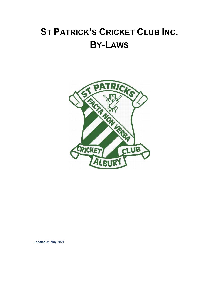# **ST PATRICK'S CRICKET CLUB INC. BY-LAWS**



**Updated 31 May 2021**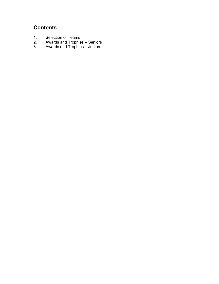## **Contents**

- 1. Selection of Teams<br>2. Awards and Trophie
- 2. Awards and Trophies Seniors<br>3. Awards and Trophies Juniors
- Awards and Trophies Juniors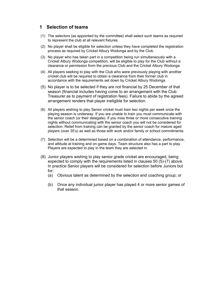## **1 Selection of teams**

- (1) The selectors (as appointed by the committee) shall select such teams as required to represent the club at all relevant fixtures.
- (2) No player shall be eligible for selection unless they have completed the registration process as required by Cricket Albury Wodonga and by the Club.
- (3) No player who has taken part in a competition being run simultaneously with a Cricket Albury Wodonga competition, will be eligible to play for the Club without a clearance or permission from the previous Club and the Cricket Albury Wodonga.
- (4) All players seeking to play with the Club who were previously playing with another cricket club will be required to obtain a clearance from their former club in accordance with the requirements set down by Cricket Albury Wodonga.
- (5) No player is to be selected if they are not financial by 25 December of that season (financial includes having come to an arrangement with the Club Treasurer as to payment of registration fees). Failure to abide by the agreed arrangement renders that player ineligible for selection.
- (6) All players wishing to play Senior cricket must train two nights per week once the playing season is underway. If you are unable to train you must communicate with the senior coach (or their delegate). If you miss three or more consecutive training nights without communicating with the senior coach you will not be considered for selection. Relief from training can be granted by the senior coach for mature aged players (over 35's) as well as those with work and/or family or school commitments.
- (7) Selection will be a determined based on a combination of attendance, performance, and attitude at training and on game days. Team structure also has a part to play. Players are expected to play in the team they are selected in.
- (8) Junior players wishing to play senior grade cricket are encouraged, being expected to comply with the requirements listed in clauses 50 (5)-(7) above. In practice Senior players will be considered for selection before Juniors but for;
	- (a) Obvious talent as determined by the selection and coaching group; or
	- (b) Once any individual junior player has played 4 or more senior games of that season.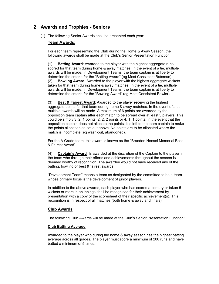## **2 Awards and Trophies - Seniors**

(1) The following Senior Awards shall be presented each year:

#### **Team Awards:**

For each team representing the Club during the Home & Away Season, the following awards shall be made at the Club's Senior Presentation Function:

(1) **Batting Award**: Awarded to the player with the highest aggregate runs scored for that team during home & away matches. In the event of a tie, multiple awards will be made. In Development Teams, the team captain is at liberty to determine the criteria for the "Batting Award" (eg Most Consistent Batsman). (2) **Bowling Award**: Awarded to the player with the highest aggregate wickets taken for that team during home & away matches. In the event of a tie, multiple awards will be made. In Development Teams, the team captain is at liberty to determine the criteria for the "Bowling Award" (eg Most Consistent Bowler).

(3) **Best & Fairest Award**: Awarded to the player receiving the highest aggregate points for that team during home & away matches. In the event of a tie, multiple awards will be made. A maximum of 6 points are awarded by the opposition team captain after each match to be spread over at least 3 players. This could be simply 3, 2, 1 points; 2, 2, 2 points or 4, 1, 1 points. In the event that the opposition captain does not allocate the points, it is left to the team captain to make the points allocation as set out above. No points are to be allocated where the match is incomplete (eg wash-out, abandoned).

For the A Grade team, this award is known as the "Braedon Hensel Memorial Best & Fairest Award".

(4) **Captain's Award**: Is awarded at the discretion of the Captain to the player in the team who through their efforts and achievements throughout the season is deemed worthy of recognition. The awardee would not have received any of the batting, bowling or best & fairest awards.

"Development Team" means a team as designated by the committee to be a team whose primary focus is the development of junior players.

In addition to the above awards, each player who has scored a century or taken 5 wickets or more in an innings shall be recognised for their achievement by presentation with a copy of the scoresheet of their specific achievement(s). This recognition is in respect of all matches (both home & away and finals).

#### **Club Awards**

The following Club Awards will be made at the Club's Senior Presentation Function:

#### **Club Batting Average**:

Awarded to the player who during the home & away season has the highest batting average across all grades. The player must score a minimum of 200 runs and have batted a minimum of 5 times.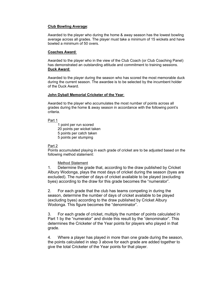#### **Club Bowling Average**:

Awarded to the player who during the home & away season has the lowest bowling average across all grades. The player must take a minimum of 15 wickets and have bowled a minimum of 50 overs.

#### **Coaches Award**:

Awarded to the player who in the view of the Club Coach (or Club Coaching Panel) has demonstrated an outstanding attitude and commitment to training sessions. **Duck Award**:

Awarded to the player during the season who has scored the most memorable duck during the current season. The awardee is to be selected by the incumbent holder of the Duck Award.

#### **John Dyball Memorial Cricketer of the Year**:

Awarded to the player who accumulates the most number of points across all grades during the home & away season in accordance with the following point's criteria.

Part 1

 1 point per run scored 20 points per wicket taken 5 points per catch taken 5 points per stumping

#### Part 2

Points accumulated playing in each grade of cricket are to be adjusted based on the following method statement:

Method Statement

1. Determine the grade that, according to the draw published by Cricket Albury Wodonga, plays the most days of cricket during the season (byes are excluded). The number of days of cricket available to be played (excluding byes) according to the draw for this grade becomes the "numerator".

2. For each grade that the club has teams competing in during the season, determine the number of days of cricket available to be played (excluding byes) according to the draw published by Cricket Albury Wodonga. This figure becomes the "denominator".

3. For each grade of cricket, multiply the number of points calculated in Part 1 by the "numerator" and divide this result by the "denominator". This determines the Cricketer of the Year points for players who played in that grade.

4. Where a player has played in more than one grade during the season, the points calculated in step 3 above for each grade are added together to give the total Cricketer of the Year points for that player.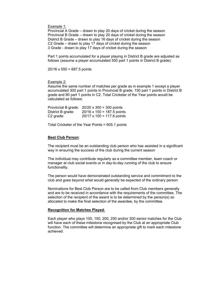Example 1:

Provincial A Grade – drawn to play 20 days of cricket during the season Provincial B Grade – drawn to play 20 days of cricket during the season District B Grade – drawn to play 16 days of cricket during the season C2 Grade – drawn to play 17 days of cricket during the season 3 Grade - drawn to play 17 days of cricket during the season

Part 1 points accumulated for a player playing in District B grade are adjusted as follows (assume a player accumulated 550 part 1 points in District B grade):

20/16 x 550 = 687.5 points

Example 2:

Assume the same number of matches per grade as in example 1 except a player accumulated 300 part 1 points in Provincial B grade, 150 part 1 points in District B grade and 80 part 1 points in C2. Total Cricketer of the Year points would be calculated as follows:

|                   | Provincial B grade: $20/20 \times 300 = 300$ points |
|-------------------|-----------------------------------------------------|
| District B grade: | $20/16 \times 150 = 187.5$ points                   |
| C2 grade:         | $20/17 \times 100 = 117.6$ points                   |

Total Cricketer of the Year Points = 605.1 points

#### **Best Club Person**:

The recipient must be an outstanding club person who has assisted in a significant way in ensuring the success of the club during the current season

The individual may contribute regularly as a committee member, team coach or manager at club social events or in day-to-day running of the club to ensure functionality.

The person would have demonstrated outstanding service and commitment to the club and goes beyond what would generally be expected of the ordinary person

Nominations for Best Club Person are to be called from Club members generally and are to be received in accordance with the requirements of the committee. The selection of the recipient of the award is to be determined by the person(s) so allocated to make the final selection of the awardee, by the committee.

#### **Recognition for Matches Played**:

Each player who plays 100, 150, 200, 250 and/or 300 senior matches for the Club will have each of these milestone recognised by the Club at an appropriate Club function. The committee will determine an appropriate gift to mark each milestone achieved.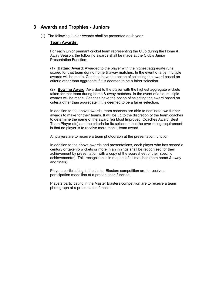## **3 Awards and Trophies - Juniors**

(1) The following Junior Awards shall be presented each year:

#### **Team Awards:**

For each junior pennant cricket team representing the Club during the Home & Away Season, the following awards shall be made at the Club's Junior Presentation Function:

(1) **Batting Award**: Awarded to the player with the highest aggregate runs scored for that team during home & away matches. In the event of a tie, multiple awards will be made. Coaches have the option of selecting the award based on criteria other than aggregate if it is deemed to be a fairer selection.

(2) **Bowling Award**: Awarded to the player with the highest aggregate wickets taken for that team during home & away matches. In the event of a tie, multiple awards will be made. Coaches have the option of selecting the award based on criteria other than aggregate if it is deemed to be a fairer selection.

In addition to the above awards, team coaches are able to nominate two further awards to make for their teams. It will be up to the discretion of the team coaches to determine the name of the award (eg Most Improved, Coaches Award, Best Team Player etc) and the criteria for its selection, but the over-riding requirement is that no player is to receive more than 1 team award.

All players are to receive a team photograph at the presentation function.

In addition to the above awards and presentations, each player who has scored a century or taken 5 wickets or more in an innings shall be recognised for their achievement by presentation with a copy of the scoresheet of their specific achievement(s). This recognition is in respect of all matches (both home & away and finals).

Players participating in the Junior Blasters competition are to receive a participation medallion at a presentation function.

Players participating in the Master Blasters competition are to receive a team photograph at a presentation function.